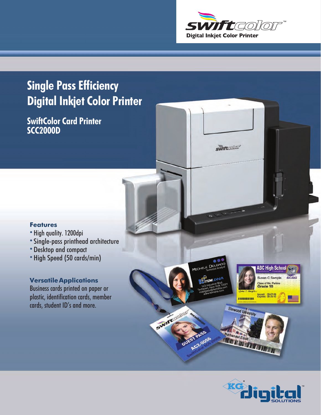

*<u>swiftcollor</u>* 

## **Single Pass Efficiency Digital Inkjet Color Printer**

**SwiftColor Card Printer SCC2000D**

#### **Features**

- **•** High quality. 1200dpi
- **•**Single-pass printhead architecture
- **•**Desktop and compact
- **•**High Speed (50 cards/min)

#### **Versatile Applications**

Business cards printed on paper or plastic, identification cards, member cards, student ID's and more.

MICHELE DE

AC2-0056

Swintercollor



**HISTORIAL BR** 

*Mathanael Elliot*<br>*HATHAIR HATHAIR HATHAIR HATHAIR* 

| Susan C Sample                  | <b>BULLDOGS</b> |
|---------------------------------|-----------------|
| lass of Ms. Parkins<br>Grade 10 |                 |

Elmwood University

**Nathanael Elliot**